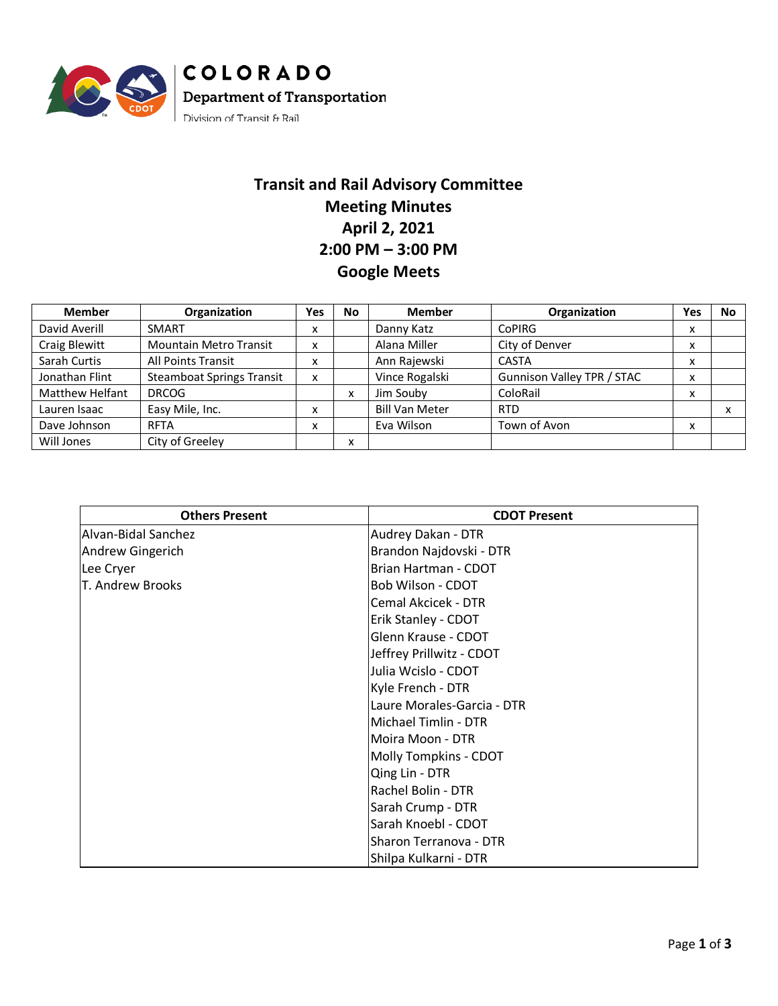

## **Transit and Rail Advisory Committee Meeting Minutes April 2, 2021 2:00 PM – 3:00 PM Google Meets**

| <b>Member</b>   | Organization                     | <b>Yes</b> | No | <b>Member</b>         | Organization               | Yes                       | No |
|-----------------|----------------------------------|------------|----|-----------------------|----------------------------|---------------------------|----|
| David Averill   | <b>SMART</b>                     | X          |    | Danny Katz            | CoPIRG                     | x                         |    |
| Craig Blewitt   | <b>Mountain Metro Transit</b>    | x          |    | Alana Miller          | City of Denver             | $\checkmark$<br>⋏         |    |
| Sarah Curtis    | <b>All Points Transit</b>        | X          |    | Ann Rajewski          | <b>CASTA</b>               | $\checkmark$<br>⋏         |    |
| Jonathan Flint  | <b>Steamboat Springs Transit</b> | X          |    | Vince Rogalski        | Gunnison Valley TPR / STAC | $\checkmark$<br>Λ         |    |
| Matthew Helfant | <b>DRCOG</b>                     |            | x  | Jim Souby             | ColoRail                   | $\checkmark$<br>$\lambda$ |    |
| Lauren Isaac    | Easy Mile, Inc.                  |            |    | <b>Bill Van Meter</b> | <b>RTD</b>                 |                           | x  |
| Dave Johnson    | <b>RFTA</b>                      | X          |    | Eva Wilson            | Town of Avon               | $\checkmark$<br>⋏         |    |
| Will Jones      | City of Greeley                  |            | ᄉ  |                       |                            |                           |    |

| <b>Others Present</b> | <b>CDOT Present</b>        |  |  |
|-----------------------|----------------------------|--|--|
| Alvan-Bidal Sanchez   | Audrey Dakan - DTR         |  |  |
| Andrew Gingerich      | Brandon Najdovski - DTR    |  |  |
| Lee Cryer             | Brian Hartman - CDOT       |  |  |
| T. Andrew Brooks      | Bob Wilson - CDOT          |  |  |
|                       | Cemal Akcicek - DTR        |  |  |
|                       | Erik Stanley - CDOT        |  |  |
|                       | Glenn Krause - CDOT        |  |  |
|                       | Jeffrey Prillwitz - CDOT   |  |  |
|                       | Julia Wcislo - CDOT        |  |  |
|                       | Kyle French - DTR          |  |  |
|                       | Laure Morales-Garcia - DTR |  |  |
|                       | Michael Timlin - DTR       |  |  |
|                       | Moira Moon - DTR           |  |  |
|                       | Molly Tompkins - CDOT      |  |  |
|                       | Qing Lin - DTR             |  |  |
|                       | Rachel Bolin - DTR         |  |  |
|                       | Sarah Crump - DTR          |  |  |
|                       | Sarah Knoebl - CDOT        |  |  |
|                       | Sharon Terranova - DTR     |  |  |
|                       | Shilpa Kulkarni - DTR      |  |  |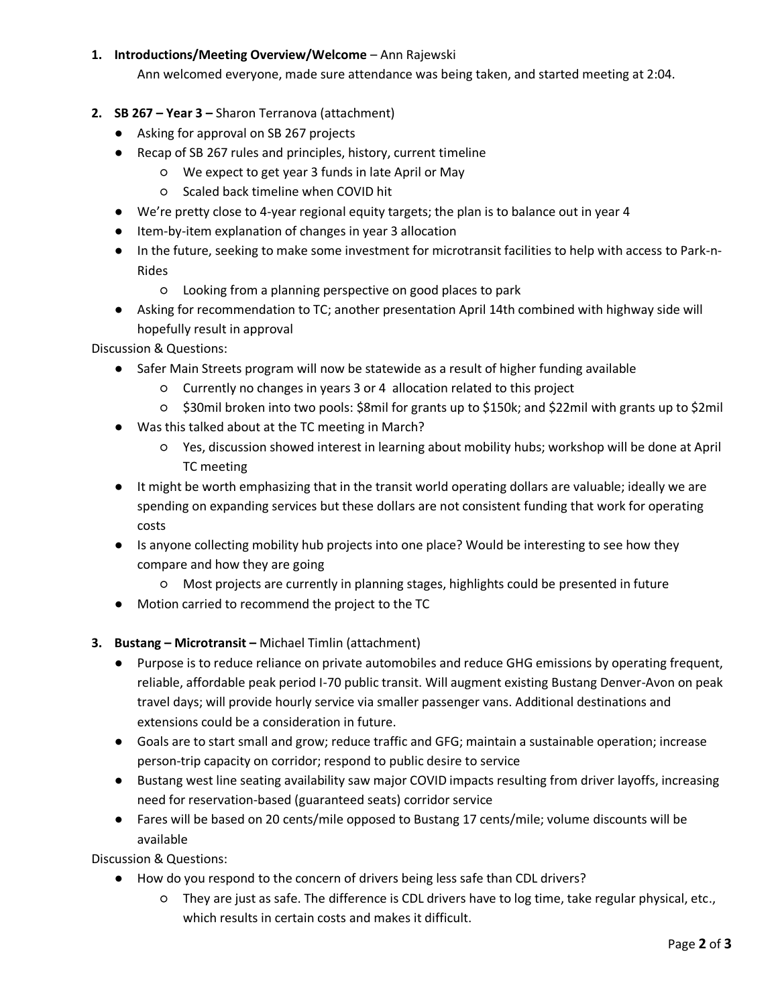## **1. Introductions/Meeting Overview/Welcome** – Ann Rajewski

Ann welcomed everyone, made sure attendance was being taken, and started meeting at 2:04.

- **2. SB 267 – Year 3 –** Sharon Terranova (attachment)
	- Asking for approval on SB 267 projects
	- Recap of SB 267 rules and principles, history, current timeline
		- We expect to get year 3 funds in late April or May
		- Scaled back timeline when COVID hit
	- We're pretty close to 4-year regional equity targets; the plan is to balance out in year 4
	- Item-by-item explanation of changes in year 3 allocation
	- In the future, seeking to make some investment for microtransit facilities to help with access to Park-n-Rides
		- Looking from a planning perspective on good places to park
	- Asking for recommendation to TC; another presentation April 14th combined with highway side will hopefully result in approval

Discussion & Questions:

- Safer Main Streets program will now be statewide as a result of higher funding available
	- Currently no changes in years 3 or 4 allocation related to this project
	- \$30mil broken into two pools: \$8mil for grants up to \$150k; and \$22mil with grants up to \$2mil
- Was this talked about at the TC meeting in March?
	- Yes, discussion showed interest in learning about mobility hubs; workshop will be done at April TC meeting
- It might be worth emphasizing that in the transit world operating dollars are valuable; ideally we are spending on expanding services but these dollars are not consistent funding that work for operating costs
- Is anyone collecting mobility hub projects into one place? Would be interesting to see how they compare and how they are going
	- Most projects are currently in planning stages, highlights could be presented in future
- Motion carried to recommend the project to the TC

## **3. Bustang – Microtransit –** Michael Timlin (attachment)

- Purpose is to reduce reliance on private automobiles and reduce GHG emissions by operating frequent, reliable, affordable peak period I-70 public transit. Will augment existing Bustang Denver-Avon on peak travel days; will provide hourly service via smaller passenger vans. Additional destinations and extensions could be a consideration in future.
- Goals are to start small and grow; reduce traffic and GFG; maintain a sustainable operation; increase person-trip capacity on corridor; respond to public desire to service
- Bustang west line seating availability saw major COVID impacts resulting from driver layoffs, increasing need for reservation-based (guaranteed seats) corridor service
- Fares will be based on 20 cents/mile opposed to Bustang 17 cents/mile; volume discounts will be available

Discussion & Questions:

- How do you respond to the concern of drivers being less safe than CDL drivers?
	- They are just as safe. The difference is CDL drivers have to log time, take regular physical, etc., which results in certain costs and makes it difficult.